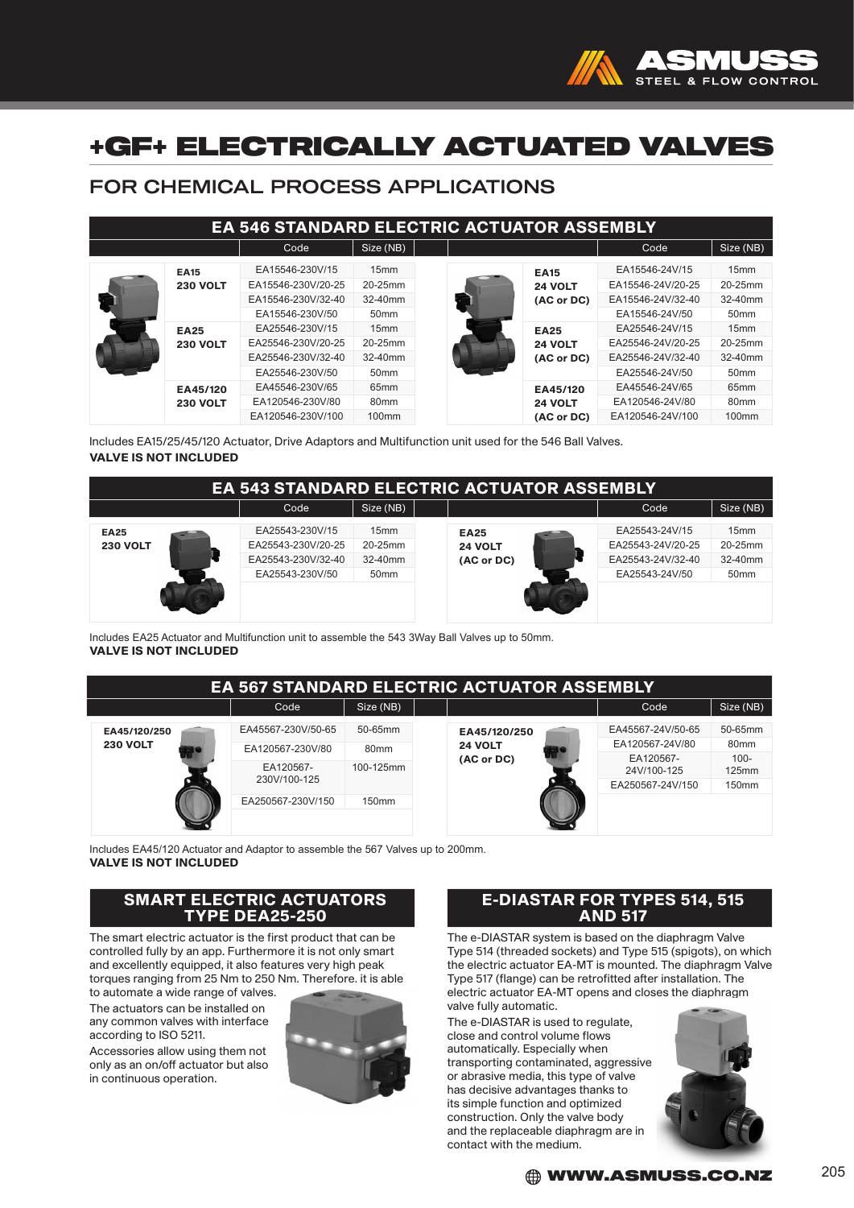

# +GF+ ELECTRICALLY ACTUATED VALVES

## FOR CHEMICAL PROCESS APPLICATIONS

| EA 546 STANDARD ELECTRIC ACTUATOR ASSEMBLY |                                |                                                                                                                                  |                                                           |                                      |                                                                            |                                                                            |                                                            |
|--------------------------------------------|--------------------------------|----------------------------------------------------------------------------------------------------------------------------------|-----------------------------------------------------------|--------------------------------------|----------------------------------------------------------------------------|----------------------------------------------------------------------------|------------------------------------------------------------|
|                                            |                                | Code                                                                                                                             | Size (NB)                                                 |                                      |                                                                            | Code                                                                       | Size (NB)                                                  |
|                                            | <b>EA15</b><br><b>230 VOLT</b> | EA15546-230V/15<br>EA15546-230V/20-25<br>EA15546-230V/32-40<br>EA15546-230V/50                                                   | 15mm<br>20-25mm<br>32-40mm<br>50 <sub>mm</sub>            | <b>EA15</b>                          | 24 VOLT<br>(AC or DC)                                                      | EA15546-24V/15<br>EA15546-24V/20-25<br>EA15546-24V/32-40<br>EA15546-24V/50 | 15 <sub>mm</sub><br>20-25mm<br>32-40mm<br>50 <sub>mm</sub> |
|                                            | <b>EA25</b><br><b>230 VOLT</b> | EA25546-230V/15<br>15mm<br>20-25mm<br>EA25546-230V/20-25<br>32-40mm<br>EA25546-230V/32-40<br>50 <sub>mm</sub><br>EA25546-230V/50 |                                                           | <b>EA25</b><br>24 VOLT<br>(AC or DC) | EA25546-24V/15<br>EA25546-24V/20-25<br>EA25546-24V/32-40<br>EA25546-24V/50 | 15mm<br>20-25mm<br>$32-40$ mm<br>50 <sub>mm</sub>                          |                                                            |
|                                            | EA45/120<br><b>230 VOLT</b>    | EA45546-230V/65<br>EA120546-230V/80<br>EA120546-230V/100                                                                         | 65 <sub>mm</sub><br>80 <sub>mm</sub><br>100 <sub>mm</sub> |                                      | EA45/120<br>24 VOLT<br>(AC or DC)                                          | EA45546-24V/65<br>EA120546-24V/80<br>EA120546-24V/100                      | 65 <sub>mm</sub><br>80 <sub>mm</sub><br>100 <sub>mm</sub>  |

Includes EA15/25/45/120 Actuator, Drive Adaptors and Multifunction unit used for the 546 Ball Valves. VALVE IS NOT INCLUDED

| <b>EA 543 STANDARD ELECTRIC ACTUATOR ASSEMBLY</b> |  |                    |                  |             |  |                   |                  |  |
|---------------------------------------------------|--|--------------------|------------------|-------------|--|-------------------|------------------|--|
|                                                   |  | Code               | Size (NB)        |             |  | Code              | Size (NB)        |  |
| <b>EA25</b>                                       |  | EA25543-230V/15    | 15mm             | <b>EA25</b> |  | EA25543-24V/15    | 15mm             |  |
| <b>230 VOLT</b>                                   |  | EA25543-230V/20-25 | 20-25mm          | 24 VOLT     |  | EA25543-24V/20-25 | 20-25mm          |  |
|                                                   |  | EA25543-230V/32-40 | 32-40mm          | (AC or DC)  |  | EA25543-24V/32-40 | 32-40mm          |  |
|                                                   |  | EA25543-230V/50    | 50 <sub>mm</sub> |             |  | EA25543-24V/50    | 50 <sub>mm</sub> |  |
|                                                   |  |                    |                  |             |  |                   |                  |  |

Includes EA25 Actuator and Multifunction unit to assemble the 543 3Way Ball Valves up to 50mm. VALVE IS NOT INCLUDED

| <b>EA 567 STANDARD ELECTRIC ACTUATOR ASSEMBLY</b> |                    |                   |  |                                       |  |                          |                   |
|---------------------------------------------------|--------------------|-------------------|--|---------------------------------------|--|--------------------------|-------------------|
|                                                   | Code               | Size (NB)         |  |                                       |  | Code                     | Size (NB)         |
| EA45/120/250                                      | EA45567-230V/50-65 | 50-65mm           |  | EA45/120/250<br>24 VOLT<br>(AC or DC) |  | EA45567-24V/50-65        | 50-65mm           |
| <b>230 VOLT</b>                                   | EA120567-230V/80   | 80 <sub>mm</sub>  |  |                                       |  | EA120567-24V/80          | 80 <sub>mm</sub>  |
|                                                   | EA120567-          | 100-125mm         |  |                                       |  | EA120567-<br>24V/100-125 | $100 -$<br>125mm  |
|                                                   | 230V/100-125       |                   |  |                                       |  | EA250567-24V/150         | 150 <sub>mm</sub> |
|                                                   | EA250567-230V/150  | 150 <sub>mm</sub> |  |                                       |  |                          |                   |
|                                                   |                    |                   |  |                                       |  |                          |                   |

Includes EA45/120 Actuator and Adaptor to assemble the 567 Valves up to 200mm. VALVE IS NOT INCLUDED

### SMART ELECTRIC ACTUATORS TYPE DEA25-250

The smart electric actuator is the first product that can be controlled fully by an app. Furthermore it is not only smart and excellently equipped, it also features very high peak torques ranging from 25 Nm to 250 Nm. Therefore, it is able

to automate a wide range of valves. The actuators can be installed on any common valves with interface according to ISO 5211.

Accessories allow using them not only as an on/off actuator but also in continuous operation.



### E-DIASTAR FOR TYPES 514, 515 AND 517

The e-DIASTAR system is based on the diaphragm Valve Type 514 (threaded sockets) and Type 515 (spigots), on which the electric actuator EA-MT is mounted. The diaphragm Valve Type 517 (flange) can be retrofitted after installation. The electric actuator EA-MT opens and closes the diaphragm valve fully automatic.

The e-DIASTAR is used to regulate, close and control volume flows automatically. Especially when transporting contaminated, aggressive or abrasive media, this type of valve has decisive advantages thanks to its simple function and optimized construction. Only the valve body and the replaceable diaphragm are in contact with the medium.



 $\bigoplus$  WWW.ASMUSS.CO.NZ  $^{205}$